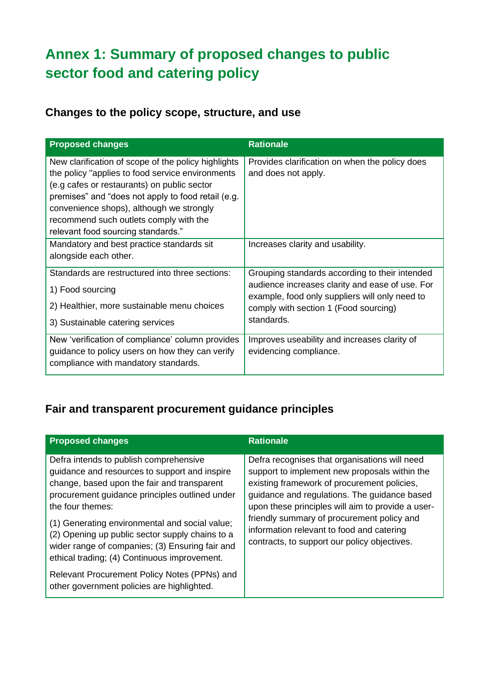# **Annex 1: Summary of proposed changes to public sector food and catering policy**

#### **Changes to the policy scope, structure, and use**

| <b>Proposed changes</b>                                                                                                                                                                                                                                                                                                                  | <b>Rationale</b>                                                                                                                                                                                           |
|------------------------------------------------------------------------------------------------------------------------------------------------------------------------------------------------------------------------------------------------------------------------------------------------------------------------------------------|------------------------------------------------------------------------------------------------------------------------------------------------------------------------------------------------------------|
| New clarification of scope of the policy highlights<br>the policy "applies to food service environments<br>(e.g cafes or restaurants) on public sector<br>premises" and "does not apply to food retail (e.g.<br>convenience shops), although we strongly<br>recommend such outlets comply with the<br>relevant food sourcing standards." | Provides clarification on when the policy does<br>and does not apply.                                                                                                                                      |
| Mandatory and best practice standards sit<br>alongside each other.                                                                                                                                                                                                                                                                       | Increases clarity and usability.                                                                                                                                                                           |
| Standards are restructured into three sections:<br>1) Food sourcing<br>2) Healthier, more sustainable menu choices<br>3) Sustainable catering services                                                                                                                                                                                   | Grouping standards according to their intended<br>audience increases clarity and ease of use. For<br>example, food only suppliers will only need to<br>comply with section 1 (Food sourcing)<br>standards. |
| New 'verification of compliance' column provides<br>guidance to policy users on how they can verify<br>compliance with mandatory standards.                                                                                                                                                                                              | Improves useability and increases clarity of<br>evidencing compliance.                                                                                                                                     |

#### **Fair and transparent procurement guidance principles**

| <b>Proposed changes</b>                                                                                                                                                                                                                                                                                                                                                                                              | <b>Rationale</b>                                                                                                                                                                                                                                                                                                                                                                              |
|----------------------------------------------------------------------------------------------------------------------------------------------------------------------------------------------------------------------------------------------------------------------------------------------------------------------------------------------------------------------------------------------------------------------|-----------------------------------------------------------------------------------------------------------------------------------------------------------------------------------------------------------------------------------------------------------------------------------------------------------------------------------------------------------------------------------------------|
| Defra intends to publish comprehensive<br>guidance and resources to support and inspire<br>change, based upon the fair and transparent<br>procurement guidance principles outlined under<br>the four themes:<br>(1) Generating environmental and social value;<br>(2) Opening up public sector supply chains to a<br>wider range of companies; (3) Ensuring fair and<br>ethical trading; (4) Continuous improvement. | Defra recognises that organisations will need<br>support to implement new proposals within the<br>existing framework of procurement policies,<br>guidance and regulations. The guidance based<br>upon these principles will aim to provide a user-<br>friendly summary of procurement policy and<br>information relevant to food and catering<br>contracts, to support our policy objectives. |
| Relevant Procurement Policy Notes (PPNs) and<br>other government policies are highlighted.                                                                                                                                                                                                                                                                                                                           |                                                                                                                                                                                                                                                                                                                                                                                               |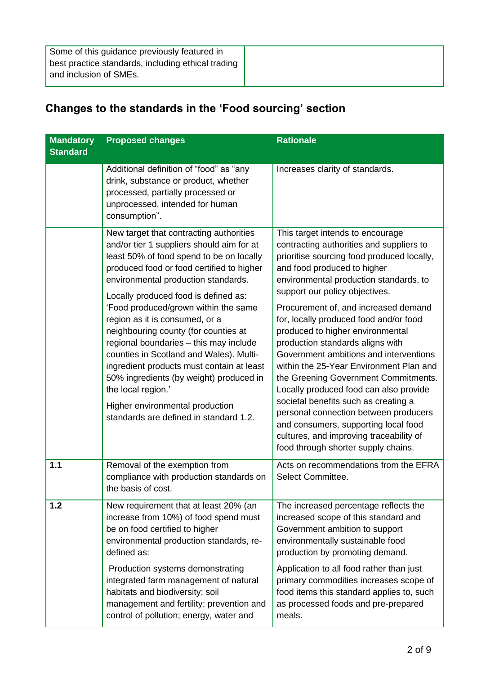#### **Changes to the standards in the 'Food sourcing' section**

| <b>Mandatory</b><br><b>Standard</b> | <b>Proposed changes</b>                                                                                                                                                                                                                                                                                                                                                                                                                                                                                                                                                                                                                                        | <b>Rationale</b>                                                                                                                                                                                                                                                                                                                                                                                                                                                                                                                                                                                                                                                                                                                                                                  |
|-------------------------------------|----------------------------------------------------------------------------------------------------------------------------------------------------------------------------------------------------------------------------------------------------------------------------------------------------------------------------------------------------------------------------------------------------------------------------------------------------------------------------------------------------------------------------------------------------------------------------------------------------------------------------------------------------------------|-----------------------------------------------------------------------------------------------------------------------------------------------------------------------------------------------------------------------------------------------------------------------------------------------------------------------------------------------------------------------------------------------------------------------------------------------------------------------------------------------------------------------------------------------------------------------------------------------------------------------------------------------------------------------------------------------------------------------------------------------------------------------------------|
|                                     | Additional definition of "food" as "any<br>drink, substance or product, whether<br>processed, partially processed or<br>unprocessed, intended for human<br>consumption".                                                                                                                                                                                                                                                                                                                                                                                                                                                                                       | Increases clarity of standards.                                                                                                                                                                                                                                                                                                                                                                                                                                                                                                                                                                                                                                                                                                                                                   |
|                                     | New target that contracting authorities<br>and/or tier 1 suppliers should aim for at<br>least 50% of food spend to be on locally<br>produced food or food certified to higher<br>environmental production standards.<br>Locally produced food is defined as:<br>'Food produced/grown within the same<br>region as it is consumed, or a<br>neighbouring county (for counties at<br>regional boundaries - this may include<br>counties in Scotland and Wales). Multi-<br>ingredient products must contain at least<br>50% ingredients (by weight) produced in<br>the local region.'<br>Higher environmental production<br>standards are defined in standard 1.2. | This target intends to encourage<br>contracting authorities and suppliers to<br>prioritise sourcing food produced locally,<br>and food produced to higher<br>environmental production standards, to<br>support our policy objectives.<br>Procurement of, and increased demand<br>for, locally produced food and/or food<br>produced to higher environmental<br>production standards aligns with<br>Government ambitions and interventions<br>within the 25-Year Environment Plan and<br>the Greening Government Commitments.<br>Locally produced food can also provide<br>societal benefits such as creating a<br>personal connection between producers<br>and consumers, supporting local food<br>cultures, and improving traceability of<br>food through shorter supply chains. |
| $1.1$                               | Removal of the exemption from<br>compliance with production standards on<br>the basis of cost.                                                                                                                                                                                                                                                                                                                                                                                                                                                                                                                                                                 | Acts on recommendations from the EFRA<br>Select Committee.                                                                                                                                                                                                                                                                                                                                                                                                                                                                                                                                                                                                                                                                                                                        |
| 1.2                                 | New requirement that at least 20% (an<br>increase from 10%) of food spend must<br>be on food certified to higher<br>environmental production standards, re-<br>defined as:                                                                                                                                                                                                                                                                                                                                                                                                                                                                                     | The increased percentage reflects the<br>increased scope of this standard and<br>Government ambition to support<br>environmentally sustainable food<br>production by promoting demand.                                                                                                                                                                                                                                                                                                                                                                                                                                                                                                                                                                                            |
|                                     | Production systems demonstrating<br>integrated farm management of natural<br>habitats and biodiversity; soil<br>management and fertility; prevention and<br>control of pollution; energy, water and                                                                                                                                                                                                                                                                                                                                                                                                                                                            | Application to all food rather than just<br>primary commodities increases scope of<br>food items this standard applies to, such<br>as processed foods and pre-prepared<br>meals.                                                                                                                                                                                                                                                                                                                                                                                                                                                                                                                                                                                                  |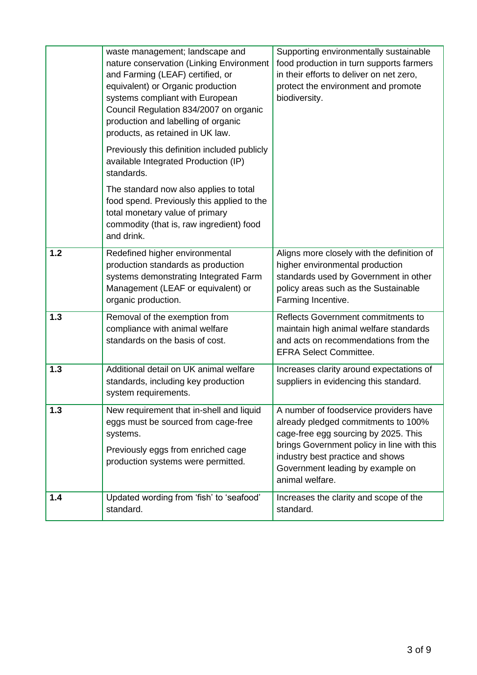|     | waste management; landscape and<br>nature conservation (Linking Environment<br>and Farming (LEAF) certified, or<br>equivalent) or Organic production<br>systems compliant with European<br>Council Regulation 834/2007 on organic<br>production and labelling of organic<br>products, as retained in UK law. | Supporting environmentally sustainable<br>food production in turn supports farmers<br>in their efforts to deliver on net zero,<br>protect the environment and promote<br>biodiversity.                                                                         |
|-----|--------------------------------------------------------------------------------------------------------------------------------------------------------------------------------------------------------------------------------------------------------------------------------------------------------------|----------------------------------------------------------------------------------------------------------------------------------------------------------------------------------------------------------------------------------------------------------------|
|     | Previously this definition included publicly<br>available Integrated Production (IP)<br>standards.                                                                                                                                                                                                           |                                                                                                                                                                                                                                                                |
|     | The standard now also applies to total<br>food spend. Previously this applied to the<br>total monetary value of primary<br>commodity (that is, raw ingredient) food<br>and drink.                                                                                                                            |                                                                                                                                                                                                                                                                |
| 1.2 | Redefined higher environmental<br>production standards as production<br>systems demonstrating Integrated Farm<br>Management (LEAF or equivalent) or<br>organic production.                                                                                                                                   | Aligns more closely with the definition of<br>higher environmental production<br>standards used by Government in other<br>policy areas such as the Sustainable<br>Farming Incentive.                                                                           |
| 1.3 | Removal of the exemption from<br>compliance with animal welfare<br>standards on the basis of cost.                                                                                                                                                                                                           | Reflects Government commitments to<br>maintain high animal welfare standards<br>and acts on recommendations from the<br><b>EFRA Select Committee.</b>                                                                                                          |
| 1.3 | Additional detail on UK animal welfare<br>standards, including key production<br>system requirements.                                                                                                                                                                                                        | Increases clarity around expectations of<br>suppliers in evidencing this standard.                                                                                                                                                                             |
| 1.3 | New requirement that in-shell and liquid<br>eggs must be sourced from cage-free<br>systems.<br>Previously eggs from enriched cage<br>production systems were permitted.                                                                                                                                      | A number of foodservice providers have<br>already pledged commitments to 100%<br>cage-free egg sourcing by 2025. This<br>brings Government policy in line with this<br>industry best practice and shows<br>Government leading by example on<br>animal welfare. |
| 1.4 | Updated wording from 'fish' to 'seafood'<br>standard.                                                                                                                                                                                                                                                        | Increases the clarity and scope of the<br>standard.                                                                                                                                                                                                            |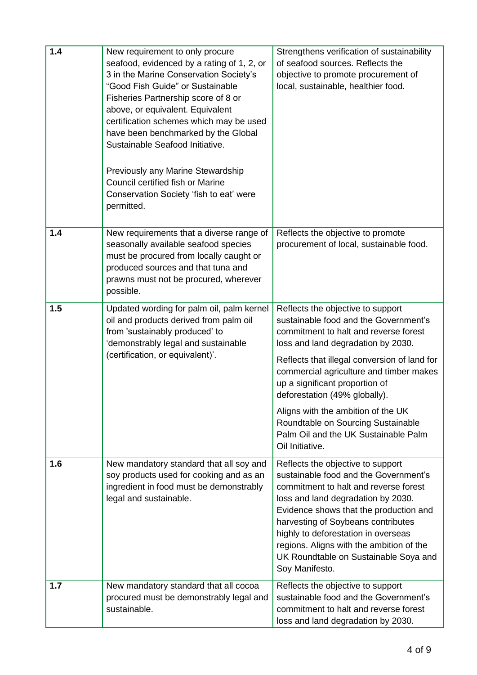| 1.4 | New requirement to only procure<br>seafood, evidenced by a rating of 1, 2, or<br>3 in the Marine Conservation Society's<br>"Good Fish Guide" or Sustainable<br>Fisheries Partnership score of 8 or<br>above, or equivalent. Equivalent<br>certification schemes which may be used<br>have been benchmarked by the Global<br>Sustainable Seafood Initiative.<br>Previously any Marine Stewardship<br>Council certified fish or Marine<br>Conservation Society 'fish to eat' were<br>permitted. | Strengthens verification of sustainability<br>of seafood sources. Reflects the<br>objective to promote procurement of<br>local, sustainable, healthier food.                                                                                                                                                                                                                                                                                                   |
|-----|-----------------------------------------------------------------------------------------------------------------------------------------------------------------------------------------------------------------------------------------------------------------------------------------------------------------------------------------------------------------------------------------------------------------------------------------------------------------------------------------------|----------------------------------------------------------------------------------------------------------------------------------------------------------------------------------------------------------------------------------------------------------------------------------------------------------------------------------------------------------------------------------------------------------------------------------------------------------------|
| 1.4 | New requirements that a diverse range of<br>seasonally available seafood species<br>must be procured from locally caught or<br>produced sources and that tuna and<br>prawns must not be procured, wherever<br>possible.                                                                                                                                                                                                                                                                       | Reflects the objective to promote<br>procurement of local, sustainable food.                                                                                                                                                                                                                                                                                                                                                                                   |
| 1.5 | Updated wording for palm oil, palm kernel<br>oil and products derived from palm oil<br>from 'sustainably produced' to<br>'demonstrably legal and sustainable<br>(certification, or equivalent)'.                                                                                                                                                                                                                                                                                              | Reflects the objective to support<br>sustainable food and the Government's<br>commitment to halt and reverse forest<br>loss and land degradation by 2030.<br>Reflects that illegal conversion of land for<br>commercial agriculture and timber makes<br>up a significant proportion of<br>deforestation (49% globally).<br>Aligns with the ambition of the UK<br>Roundtable on Sourcing Sustainable<br>Palm Oil and the UK Sustainable Palm<br>Oil Initiative. |
| 1.6 | New mandatory standard that all soy and<br>soy products used for cooking and as an<br>ingredient in food must be demonstrably<br>legal and sustainable.                                                                                                                                                                                                                                                                                                                                       | Reflects the objective to support<br>sustainable food and the Government's<br>commitment to halt and reverse forest<br>loss and land degradation by 2030.<br>Evidence shows that the production and<br>harvesting of Soybeans contributes<br>highly to deforestation in overseas<br>regions. Aligns with the ambition of the<br>UK Roundtable on Sustainable Soya and<br>Soy Manifesto.                                                                        |
| 1.7 | New mandatory standard that all cocoa<br>procured must be demonstrably legal and<br>sustainable.                                                                                                                                                                                                                                                                                                                                                                                              | Reflects the objective to support<br>sustainable food and the Government's<br>commitment to halt and reverse forest<br>loss and land degradation by 2030.                                                                                                                                                                                                                                                                                                      |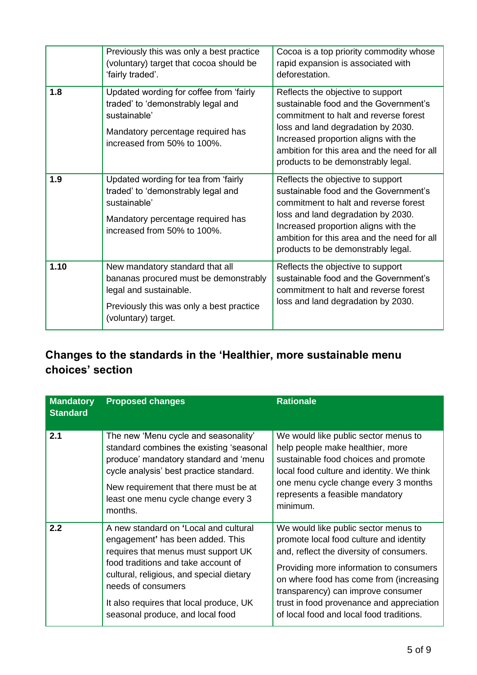|      | Previously this was only a best practice<br>(voluntary) target that cocoa should be<br>'fairly traded'.                                                               | Cocoa is a top priority commodity whose<br>rapid expansion is associated with<br>deforestation.                                                                                                                                                                                        |
|------|-----------------------------------------------------------------------------------------------------------------------------------------------------------------------|----------------------------------------------------------------------------------------------------------------------------------------------------------------------------------------------------------------------------------------------------------------------------------------|
| 1.8  | Updated wording for coffee from 'fairly<br>traded' to 'demonstrably legal and<br>sustainable'<br>Mandatory percentage required has<br>increased from 50% to 100%.     | Reflects the objective to support<br>sustainable food and the Government's<br>commitment to halt and reverse forest<br>loss and land degradation by 2030.<br>Increased proportion aligns with the<br>ambition for this area and the need for all<br>products to be demonstrably legal. |
| 1.9  | Updated wording for tea from 'fairly<br>traded' to 'demonstrably legal and<br>sustainable'<br>Mandatory percentage required has<br>increased from 50% to 100%.        | Reflects the objective to support<br>sustainable food and the Government's<br>commitment to halt and reverse forest<br>loss and land degradation by 2030.<br>Increased proportion aligns with the<br>ambition for this area and the need for all<br>products to be demonstrably legal. |
| 1.10 | New mandatory standard that all<br>bananas procured must be demonstrably<br>legal and sustainable.<br>Previously this was only a best practice<br>(voluntary) target. | Reflects the objective to support<br>sustainable food and the Government's<br>commitment to halt and reverse forest<br>loss and land degradation by 2030.                                                                                                                              |

#### **Changes to the standards in the 'Healthier, more sustainable menu choices' section**

| <b>Mandatory</b><br><b>Standard</b> | <b>Proposed changes</b>                                                                                                                                                                                                                                                                                  | <b>Rationale</b>                                                                                                                                                                                                                                                                                                                                 |
|-------------------------------------|----------------------------------------------------------------------------------------------------------------------------------------------------------------------------------------------------------------------------------------------------------------------------------------------------------|--------------------------------------------------------------------------------------------------------------------------------------------------------------------------------------------------------------------------------------------------------------------------------------------------------------------------------------------------|
| 2.1                                 | The new 'Menu cycle and seasonality'<br>standard combines the existing 'seasonal<br>produce' mandatory standard and 'menu<br>cycle analysis' best practice standard.<br>New requirement that there must be at<br>least one menu cycle change every 3<br>months.                                          | We would like public sector menus to<br>help people make healthier, more<br>sustainable food choices and promote<br>local food culture and identity. We think<br>one menu cycle change every 3 months<br>represents a feasible mandatory<br>minimum.                                                                                             |
| 2.2                                 | A new standard on 'Local and cultural<br>engagement' has been added. This<br>requires that menus must support UK<br>food traditions and take account of<br>cultural, religious, and special dietary<br>needs of consumers<br>It also requires that local produce, UK<br>seasonal produce, and local food | We would like public sector menus to<br>promote local food culture and identity<br>and, reflect the diversity of consumers.<br>Providing more information to consumers<br>on where food has come from (increasing<br>transparency) can improve consumer<br>trust in food provenance and appreciation<br>of local food and local food traditions. |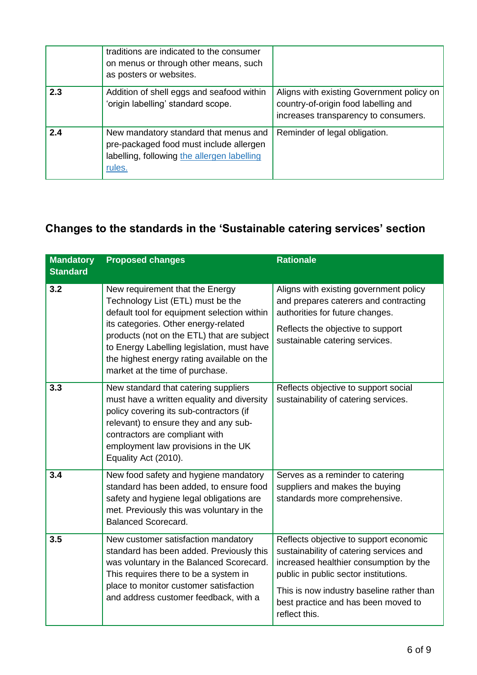|     | traditions are indicated to the consumer<br>on menus or through other means, such<br>as posters or websites.                              |                                                                                                                           |
|-----|-------------------------------------------------------------------------------------------------------------------------------------------|---------------------------------------------------------------------------------------------------------------------------|
| 2.3 | Addition of shell eggs and seafood within<br>'origin labelling' standard scope.                                                           | Aligns with existing Government policy on<br>country-of-origin food labelling and<br>increases transparency to consumers. |
| 2.4 | New mandatory standard that menus and<br>pre-packaged food must include allergen<br>labelling, following the allergen labelling<br>rules. | Reminder of legal obligation.                                                                                             |

### **Changes to the standards in the 'Sustainable catering services' section**

| <b>Mandatory</b><br><b>Standard</b> | <b>Proposed changes</b>                                                                                                                                                                                                                                                                                                                  | <b>Rationale</b>                                                                                                                                                                                                                                                          |
|-------------------------------------|------------------------------------------------------------------------------------------------------------------------------------------------------------------------------------------------------------------------------------------------------------------------------------------------------------------------------------------|---------------------------------------------------------------------------------------------------------------------------------------------------------------------------------------------------------------------------------------------------------------------------|
| 3.2                                 | New requirement that the Energy<br>Technology List (ETL) must be the<br>default tool for equipment selection within<br>its categories. Other energy-related<br>products (not on the ETL) that are subject<br>to Energy Labelling legislation, must have<br>the highest energy rating available on the<br>market at the time of purchase. | Aligns with existing government policy<br>and prepares caterers and contracting<br>authorities for future changes.<br>Reflects the objective to support<br>sustainable catering services.                                                                                 |
| 3.3                                 | New standard that catering suppliers<br>must have a written equality and diversity<br>policy covering its sub-contractors (if<br>relevant) to ensure they and any sub-<br>contractors are compliant with<br>employment law provisions in the UK<br>Equality Act (2010).                                                                  | Reflects objective to support social<br>sustainability of catering services.                                                                                                                                                                                              |
| 3.4                                 | New food safety and hygiene mandatory<br>standard has been added, to ensure food<br>safety and hygiene legal obligations are<br>met. Previously this was voluntary in the<br><b>Balanced Scorecard.</b>                                                                                                                                  | Serves as a reminder to catering<br>suppliers and makes the buying<br>standards more comprehensive.                                                                                                                                                                       |
| 3.5                                 | New customer satisfaction mandatory<br>standard has been added. Previously this<br>was voluntary in the Balanced Scorecard.<br>This requires there to be a system in<br>place to monitor customer satisfaction<br>and address customer feedback, with a                                                                                  | Reflects objective to support economic<br>sustainability of catering services and<br>increased healthier consumption by the<br>public in public sector institutions.<br>This is now industry baseline rather than<br>best practice and has been moved to<br>reflect this. |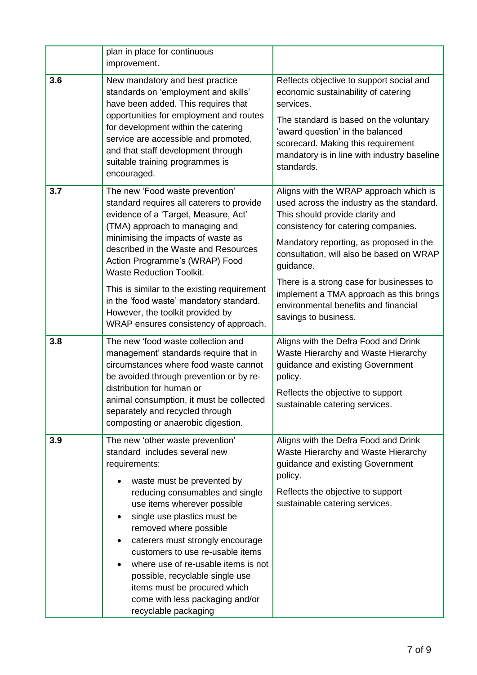|     | plan in place for continuous<br>improvement.                                                                                                                                                                                                                                                                                                                                                                                                                                             |                                                                                                                                                                                                                                                                                                                                                                                                                          |
|-----|------------------------------------------------------------------------------------------------------------------------------------------------------------------------------------------------------------------------------------------------------------------------------------------------------------------------------------------------------------------------------------------------------------------------------------------------------------------------------------------|--------------------------------------------------------------------------------------------------------------------------------------------------------------------------------------------------------------------------------------------------------------------------------------------------------------------------------------------------------------------------------------------------------------------------|
| 3.6 | New mandatory and best practice<br>standards on 'employment and skills'<br>have been added. This requires that<br>opportunities for employment and routes<br>for development within the catering<br>service are accessible and promoted,<br>and that staff development through<br>suitable training programmes is<br>encouraged.                                                                                                                                                         | Reflects objective to support social and<br>economic sustainability of catering<br>services.<br>The standard is based on the voluntary<br>'award question' in the balanced<br>scorecard. Making this requirement<br>mandatory is in line with industry baseline<br>standards.                                                                                                                                            |
| 3.7 | The new 'Food waste prevention'<br>standard requires all caterers to provide<br>evidence of a 'Target, Measure, Act'<br>(TMA) approach to managing and<br>minimising the impacts of waste as<br>described in the Waste and Resources<br>Action Programme's (WRAP) Food<br><b>Waste Reduction Toolkit.</b><br>This is similar to the existing requirement<br>in the 'food waste' mandatory standard.<br>However, the toolkit provided by<br>WRAP ensures consistency of approach.         | Aligns with the WRAP approach which is<br>used across the industry as the standard.<br>This should provide clarity and<br>consistency for catering companies.<br>Mandatory reporting, as proposed in the<br>consultation, will also be based on WRAP<br>guidance.<br>There is a strong case for businesses to<br>implement a TMA approach as this brings<br>environmental benefits and financial<br>savings to business. |
| 3.8 | The new 'food waste collection and<br>management' standards require that in<br>circumstances where food waste cannot<br>be avoided through prevention or by re-<br>distribution for human or<br>animal consumption, it must be collected<br>separately and recycled through<br>composting or anaerobic digestion.                                                                                                                                                                        | Aligns with the Defra Food and Drink<br>Waste Hierarchy and Waste Hierarchy<br>guidance and existing Government<br>policy.<br>Reflects the objective to support<br>sustainable catering services.                                                                                                                                                                                                                        |
| 3.9 | The new 'other waste prevention'<br>standard includes several new<br>requirements:<br>waste must be prevented by<br>reducing consumables and single<br>use items wherever possible<br>single use plastics must be<br>removed where possible<br>caterers must strongly encourage<br>customers to use re-usable items<br>where use of re-usable items is not<br>possible, recyclable single use<br>items must be procured which<br>come with less packaging and/or<br>recyclable packaging | Aligns with the Defra Food and Drink<br>Waste Hierarchy and Waste Hierarchy<br>guidance and existing Government<br>policy.<br>Reflects the objective to support<br>sustainable catering services.                                                                                                                                                                                                                        |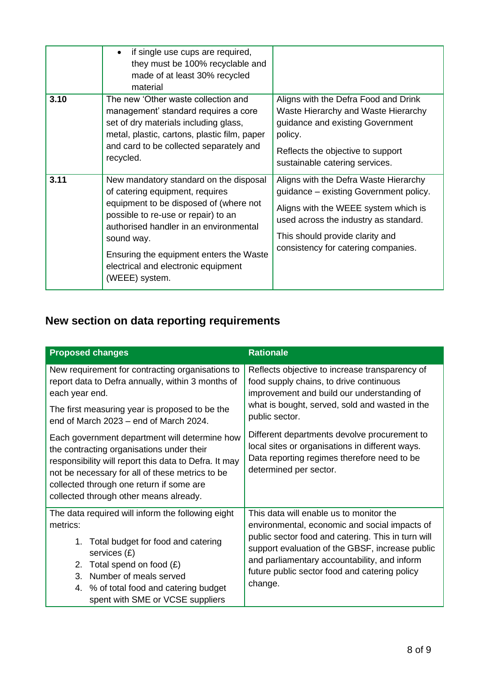|      | if single use cups are required,<br>they must be 100% recyclable and<br>made of at least 30% recycled<br>material                                                                                                                                                                                                      |                                                                                                                                                                                                                                            |
|------|------------------------------------------------------------------------------------------------------------------------------------------------------------------------------------------------------------------------------------------------------------------------------------------------------------------------|--------------------------------------------------------------------------------------------------------------------------------------------------------------------------------------------------------------------------------------------|
| 3.10 | The new 'Other waste collection and<br>management' standard requires a core<br>set of dry materials including glass,<br>metal, plastic, cartons, plastic film, paper<br>and card to be collected separately and<br>recycled.                                                                                           | Aligns with the Defra Food and Drink<br>Waste Hierarchy and Waste Hierarchy<br>guidance and existing Government<br>policy.<br>Reflects the objective to support<br>sustainable catering services.                                          |
| 3.11 | New mandatory standard on the disposal<br>of catering equipment, requires<br>equipment to be disposed of (where not<br>possible to re-use or repair) to an<br>authorised handler in an environmental<br>sound way.<br>Ensuring the equipment enters the Waste<br>electrical and electronic equipment<br>(WEEE) system. | Aligns with the Defra Waste Hierarchy<br>guidance - existing Government policy.<br>Aligns with the WEEE system which is<br>used across the industry as standard.<br>This should provide clarity and<br>consistency for catering companies. |

## **New section on data reporting requirements**

| <b>Proposed changes</b>                                                                                                                                                                                                                                                                      | <b>Rationale</b>                                                                                                                                                                                                                                                                                              |
|----------------------------------------------------------------------------------------------------------------------------------------------------------------------------------------------------------------------------------------------------------------------------------------------|---------------------------------------------------------------------------------------------------------------------------------------------------------------------------------------------------------------------------------------------------------------------------------------------------------------|
| New requirement for contracting organisations to<br>report data to Defra annually, within 3 months of<br>each year end.                                                                                                                                                                      | Reflects objective to increase transparency of<br>food supply chains, to drive continuous<br>improvement and build our understanding of                                                                                                                                                                       |
| The first measuring year is proposed to be the<br>end of March 2023 - end of March 2024.                                                                                                                                                                                                     | what is bought, served, sold and wasted in the<br>public sector.                                                                                                                                                                                                                                              |
| Each government department will determine how<br>the contracting organisations under their<br>responsibility will report this data to Defra. It may<br>not be necessary for all of these metrics to be<br>collected through one return if some are<br>collected through other means already. | Different departments devolve procurement to<br>local sites or organisations in different ways.<br>Data reporting regimes therefore need to be<br>determined per sector.                                                                                                                                      |
| The data required will inform the following eight<br>metrics:<br>Total budget for food and catering<br>1.<br>services $(E)$<br>Total spend on food $(E)$<br>2.<br>Number of meals served<br>3.<br>% of total food and catering budget<br>4.<br>spent with SME or VCSE suppliers              | This data will enable us to monitor the<br>environmental, economic and social impacts of<br>public sector food and catering. This in turn will<br>support evaluation of the GBSF, increase public<br>and parliamentary accountability, and inform<br>future public sector food and catering policy<br>change. |